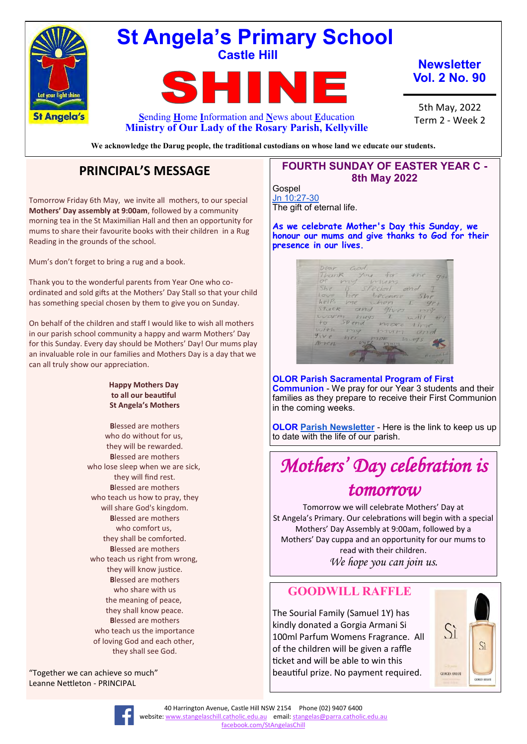

## **St Angela's Primary School Castle Hill**

EU **S**ending **H**ome **I**nformation and **N**ews about **E**ducation

**Newsletter Vol. 2 No. 90**

5th May, 2022 Term 2 - Week 2

**We acknowledge the Darug people, the traditional custodians on whose land we educate our students.**

**Ministry of Our Lady of the Rosary Parish, Kellyville**

## **PRINCIPAL'S MESSAGE**

Tomorrow Friday 6th May, we invite all mothers, to our special **Mothers' Day assembly at 9:00am**, followed by a community morning tea in the St Maximilian Hall and then an opportunity for mums to share their favourite books with their children in a Rug Reading in the grounds of the school.

Mum's don't forget to bring a rug and a book.

Thank you to the wonderful parents from Year One who coordinated and sold gifts at the Mothers' Day Stall so that your child has something special chosen by them to give you on Sunday.

On behalf of the children and staff I would like to wish all mothers in our parish school community a happy and warm Mothers' Day for this Sunday. Every day should be Mothers' Day! Our mums play an invaluable role in our families and Mothers Day is a day that we can all truly show our appreciation.

#### **Happy Mothers Day to all our beautiful St Angela's Mothers**

**B**lessed are mothers who do without for us, they will be rewarded. **B**lessed are mothers who lose sleep when we are sick, they will find rest. **B**lessed are mothers who teach us how to pray, they will share God's kingdom. **B**lessed are mothers who comfort us, they shall be comforted. **B**lessed are mothers who teach us right from wrong, they will know justice. **B**lessed are mothers who share with us the meaning of peace, they shall know peace. **B**lessed are mothers who teach us the importance of loving God and each other, they shall see God.

"Together we can achieve so much" Leanne Nettleton - PRINCIPAL

#### **FOURTH SUNDAY OF EASTER YEAR C - 8th May 2022**

Gospel [Jn 10:27](https://liturgyhelp.com/ritual/lectionary/LectionaryList%7Cjhn#jhn010)-30 The gift of eternal life.

**As we celebrate Mother's Day this Sunday, we honour our mums and give thanks to God for their presence in our lives.**

Dear God  $\frac{1}{\frac{1}{5}}$  and  $\frac{1}{\frac{1}{5}}$ Thank<br>Of  $\sqrt{2}$ nunz  $5he$ ecial She is special<br>love her because<br>helfs me when<br>stuck and gives  $aina$ warm,  $41177$ end more  $i + h$  $P24$ mum  $9ive$ Arren.

**OLOR Parish Sacramental Program of First Communion** - We pray for our Year 3 students and their families as they prepare to receive their First Communion in the coming weeks.

**OLOR [Parish Newsletter](https://olorparishkellyville.org.au/wp-content/uploads/2022/04/1-May-2022-with-links-1.pdf)** - Here is the link to keep us up to date with the life of our parish.

## *Mothers' Day celebration is tomorrow*

Tomorrow we will celebrate Mothers' Day at St Angela's Primary. Our celebrations will begin with a special Mothers' Day Assembly at 9:00am, followed by a Mothers' Day cuppa and an opportunity for our mums to read with their children. *We hope you can join us.*

### **GOODWILL RAFFLE**

The Sourial Family (Samuel 1Y) has kindly donated a Gorgia Armani Si 100ml Parfum Womens Fragrance. All of the children will be given a raffle ticket and will be able to win this beautiful prize. No payment required.





40 Harrington Avenue, Castle Hill NSW 2154 Phone (02) 9407 6400 website: [www.stangelaschill.catholic.edu.au](http://www.stangelaschill.catholic.edu.au) email: [stangelas@parra.catholic.edu.au](mailto:stangelas@parra.catholic.edu.au) <facebook.com/StAngelasChill>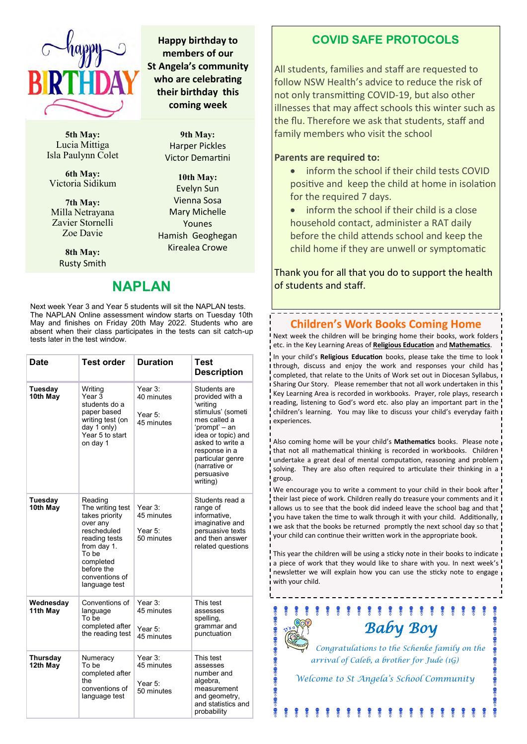

**5th May:** Lucia Mittiga Isla Paulynn Colet

**6th May:**  Victoria Sidikum

**7th May:** Milla Netrayana Zavier Stornelli Zoe Davie

> **8th May:** Rusty Smith

# **NAPLAN**

**9th May:** Harper Pickles Victor Demartini

**Happy birthday to members of our St Angela's community who are celebrating their birthday this coming week**

> **10th May:** Evelyn Sun Vienna Sosa Mary Michelle Younes Hamish Geoghegan Kirealea Crowe

Next week Year 3 and Year 5 students will sit the NAPLAN tests. The NAPLAN Online assessment window starts on Tuesday 10th May and finishes on Friday 20th May 2022. Students who are absent when their class participates in the tests can sit catch-up tests later in the test window.

| <b>Date</b>                                                                                                                                                                                            | <b>Test order</b>                                                                                                       | <b>Duration</b>                                | <b>Test</b><br><b>Description</b>                                                                                                                                                                                           |
|--------------------------------------------------------------------------------------------------------------------------------------------------------------------------------------------------------|-------------------------------------------------------------------------------------------------------------------------|------------------------------------------------|-----------------------------------------------------------------------------------------------------------------------------------------------------------------------------------------------------------------------------|
| Tuesday<br>10th May                                                                                                                                                                                    | Writing<br>Year $3$<br>students do a<br>paper based<br>writing test (on<br>day $1$ only)<br>Year 5 to start<br>on day 1 | Year 3:<br>40 minutes<br>Year 5:<br>45 minutes | Students are<br>provided with a<br>'writing<br>stimulus' (someti<br>mes called a<br>'prompt' – an<br>idea or topic) and<br>asked to write a<br>response in a<br>particular genre<br>(narrative or<br>persuasive<br>writing) |
| Tuesday<br>Reading<br>10th May<br>The writing test<br>takes priority<br>over any<br>rescheduled<br>reading tests<br>from day 1.<br>To be<br>completed<br>before the<br>conventions of<br>language test |                                                                                                                         | Year 3:<br>45 minutes<br>Year 5:<br>50 minutes | Students read a<br>range of<br>informative,<br>imaginative and<br>persuasive texts<br>and then answer<br>related questions                                                                                                  |
| Wednesday<br>Conventions of<br>11th May<br>language<br>To be<br>completed after<br>the reading test                                                                                                    |                                                                                                                         | Year 3:<br>45 minutes<br>Year 5:<br>45 minutes | This test<br>assesses<br>spelling,<br>grammar and<br>punctuation                                                                                                                                                            |
| <b>Thursday</b><br>Numeracy<br>To be<br>12th May<br>completed after<br>the<br>conventions of<br>language test                                                                                          |                                                                                                                         | Year 3:<br>45 minutes<br>Year 5:<br>50 minutes | This test<br>assesses<br>number and<br>algebra,<br>measurement<br>and geometry,<br>and statistics and<br>probability                                                                                                        |

**COVID SAFE PROTOCOLS**

All students, families and staff are requested to follow NSW Health's advice to reduce the risk of not only transmitting COVID-19, but also other illnesses that may affect schools this winter such as the flu. Therefore we ask that students, staff and family members who visit the school

#### **Parents are required to:**

- inform the school if their child tests COVID positive and keep the child at home in isolation for the required 7 days.
- inform the school if their child is a close household contact, administer a RAT daily before the child attends school and keep the child home if they are unwell or symptomatic

Thank you for all that you do to support the health of students and staff.

#### **Children's Work Books Coming Home**

Next week the children will be bringing home their books, work folders etc. in the Key Learning Areas of **Religious Education** and **Mathematics**.

In your child's **Religious Education** books, please take the time to look through, discuss and enjoy the work and responses your child has completed, that relate to the Units of Work set out in Diocesan Syllabus, Sharing Our Story. Please remember that not all work undertaken in this Key Learning Area is recorded in workbooks. Prayer, role plays, research reading, listening to God's word etc. also play an important part in the children's learning. You may like to discuss your child's everyday faith experiences.

Also coming home will be your child's **Mathematics** books. Please note that not all mathematical thinking is recorded in workbooks. Children undertake a great deal of mental computation, reasoning and problem solving. They are also often required to articulate their thinking in a group.

We encourage you to write a comment to your child in their book after their last piece of work. Children really do treasure your comments and it allows us to see that the book did indeed leave the school bag and that you have taken the time to walk through it with your child. Additionally, we ask that the books be returned promptly the next school day so that your child can continue their written work in the appropriate book.

This year the children will be using a sticky note in their books to indicate a piece of work that they would like to share with you. In next week's newsletter we will explain how you can use the sticky note to engage with your child.



*Congratulations to the Schenke family on the arrival of Caleb, a brother for Jude (1G)*

\* \* \* \* \* \* \* \* \* \* \*

*Welcome to St Angela's School Community*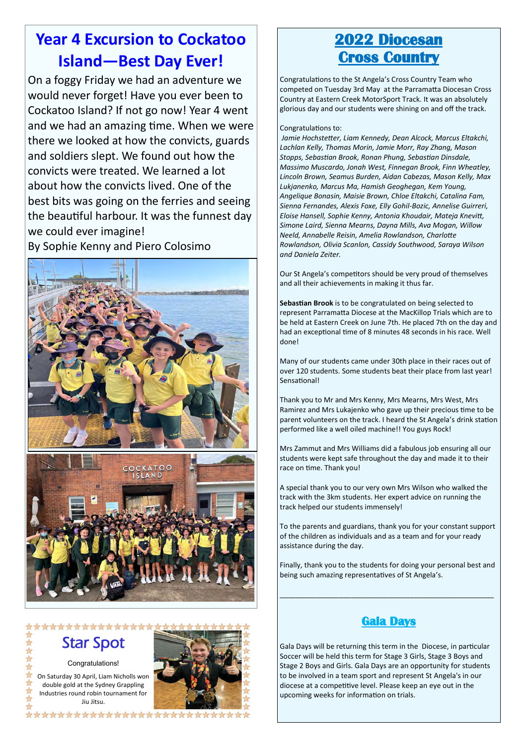## **Year 4 Excursion to Cockatoo Island—Best Day Ever!**

On a foggy Friday we had an adventure we would never forget! Have you ever been to Cockatoo Island? If not go now! Year 4 went and we had an amazing time. When we were there we looked at how the convicts, guards and soldiers slept. We found out how the convicts were treated. We learned a lot about how the convicts lived. One of the best bits was going on the ferries and seeing the beautiful harbour. It was the funnest day we could ever imagine!

By Sophie Kenny and Piero Colosimo



\*\*\*\*\*\*\*\*\*\*\*\*\*\*\*\*

## Star Spot

Congratulations!

On Saturday 30 April, Liam Nicholls won double gold at the Sydney Grappling Industries round robin tournament for Jiu Jitsu.



## **2022 Diocesan Cross Country**

Congratulations to the St Angela's Cross Country Team who competed on Tuesday 3rd May at the Parramatta Diocesan Cross Country at Eastern Creek MotorSport Track. It was an absolutely glorious day and our students were shining on and off the track.

#### Congratulations to:

*Jamie Hochstetter, Liam Kennedy, Dean Alcock, Marcus Eltakchi, Lachlan Kelly, Thomas Morin, Jamie Morr, Ray Zhang, Mason Stopps, Sebastian Brook, Ronan Phung, Sebastian Dinsdale, Massimo Muscardo, Jonah West, Finnegan Brook, Finn Wheatley, Lincoln Brown, Seamus Burden, Aidan Cabezas, Mason Kelly, Max Lukjanenko, Marcus Ma, Hamish Geoghegan, Kem Young, Angelique Bonasin, Maisie Brown, Chloe Eltakchi, Catalina Fam, Sienna Fernandes, Alexis Foxe, Elly Gohil-Bozic, Annelise Guirreri, Eloise Hansell, Sophie Kenny, Antonia Khoudair, Mateja Knevitt, Simone Laird, Sienna Mearns, Dayna Mills, Ava Mogan, Willow Neeld, Annabelle Reisin, Amelia Rowlandson, Charlotte Rowlandson, Olivia Scanlon, Cassidy Southwood, Saraya Wilson and Daniela Zeiter.* 

Our St Angela's competitors should be very proud of themselves and all their achievements in making it thus far.

**Sebastian Brook** is to be congratulated on being selected to represent Parramatta Diocese at the MacKillop Trials which are to be held at Eastern Creek on June 7th. He placed 7th on the day and had an exceptional time of 8 minutes 48 seconds in his race. Well done!

Many of our students came under 30th place in their races out of over 120 students. Some students beat their place from last year! Sensational!

Thank you to Mr and Mrs Kenny, Mrs Mearns, Mrs West, Mrs Ramirez and Mrs Lukajenko who gave up their precious time to be parent volunteers on the track. I heard the St Angela's drink station performed like a well oiled machine!! You guys Rock!

Mrs Zammut and Mrs Williams did a fabulous job ensuring all our students were kept safe throughout the day and made it to their race on time. Thank you!

A special thank you to our very own Mrs Wilson who walked the track with the 3km students. Her expert advice on running the track helped our students immensely!

To the parents and guardians, thank you for your constant support of the children as individuals and as a team and for your ready assistance during the day.

Finally, thank you to the students for doing your personal best and being such amazing representatives of St Angela's.

\_\_\_\_\_\_\_\_\_\_\_\_\_\_\_\_\_\_\_\_\_\_\_\_\_\_\_\_\_\_\_\_\_\_\_\_\_\_\_\_\_\_\_\_\_\_\_\_\_\_\_\_\_\_

#### **Gala Days**

Gala Days will be returning this term in the Diocese, in particular Soccer will be held this term for Stage 3 Girls, Stage 3 Boys and Stage 2 Boys and Girls. Gala Days are an opportunity for students to be involved in a team sport and represent St Angela's in our diocese at a competitive level. Please keep an eye out in the upcoming weeks for information on trials.